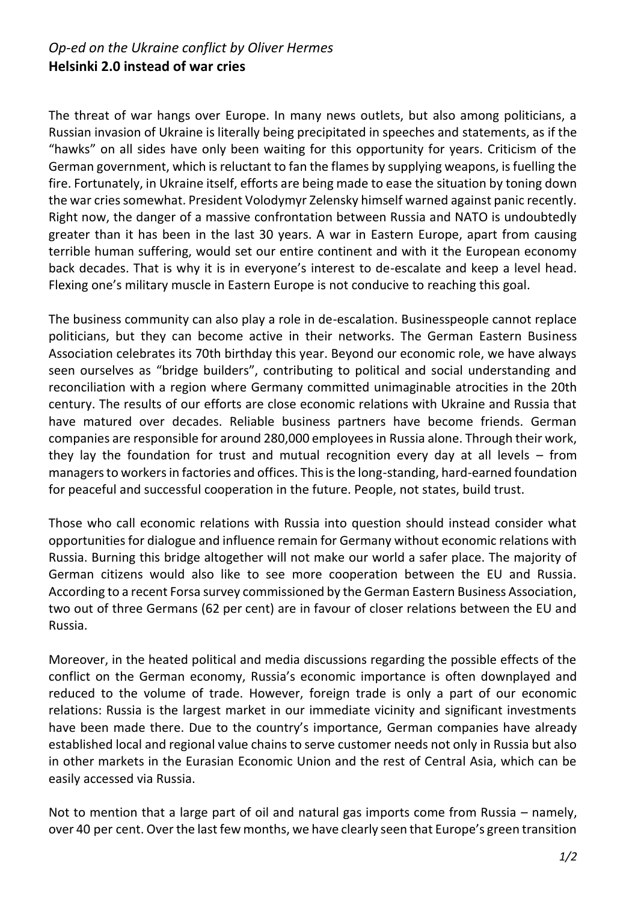## *Op-ed on the Ukraine conflict by Oliver Hermes* **Helsinki 2.0 instead of war cries**

The threat of war hangs over Europe. In many news outlets, but also among politicians, a Russian invasion of Ukraine is literally being precipitated in speeches and statements, as if the "hawks" on all sides have only been waiting for this opportunity for years. Criticism of the German government, which is reluctant to fan the flames by supplying weapons, is fuelling the fire. Fortunately, in Ukraine itself, efforts are being made to ease the situation by toning down the war cries somewhat. President Volodymyr Zelensky himself warned against panic recently. Right now, the danger of a massive confrontation between Russia and NATO is undoubtedly greater than it has been in the last 30 years. A war in Eastern Europe, apart from causing terrible human suffering, would set our entire continent and with it the European economy back decades. That is why it is in everyone's interest to de-escalate and keep a level head. Flexing one's military muscle in Eastern Europe is not conducive to reaching this goal.

The business community can also play a role in de-escalation. Businesspeople cannot replace politicians, but they can become active in their networks. The German Eastern Business Association celebrates its 70th birthday this year. Beyond our economic role, we have always seen ourselves as "bridge builders", contributing to political and social understanding and reconciliation with a region where Germany committed unimaginable atrocities in the 20th century. The results of our efforts are close economic relations with Ukraine and Russia that have matured over decades. Reliable business partners have become friends. German companies are responsible for around 280,000 employees in Russia alone. Through their work, they lay the foundation for trust and mutual recognition every day at all levels – from managers to workers in factories and offices. This is the long-standing, hard-earned foundation for peaceful and successful cooperation in the future. People, not states, build trust.

Those who call economic relations with Russia into question should instead consider what opportunities for dialogue and influence remain for Germany without economic relations with Russia. Burning this bridge altogether will not make our world a safer place. The majority of German citizens would also like to see more cooperation between the EU and Russia. According to a recent Forsa survey commissioned by the German Eastern Business Association, two out of three Germans (62 per cent) are in favour of closer relations between the EU and Russia.

Moreover, in the heated political and media discussions regarding the possible effects of the conflict on the German economy, Russia's economic importance is often downplayed and reduced to the volume of trade. However, foreign trade is only a part of our economic relations: Russia is the largest market in our immediate vicinity and significant investments have been made there. Due to the country's importance, German companies have already established local and regional value chains to serve customer needs not only in Russia but also in other markets in the Eurasian Economic Union and the rest of Central Asia, which can be easily accessed via Russia.

Not to mention that a large part of oil and natural gas imports come from Russia – namely, over 40 per cent. Over the last few months, we have clearly seen that Europe's green transition